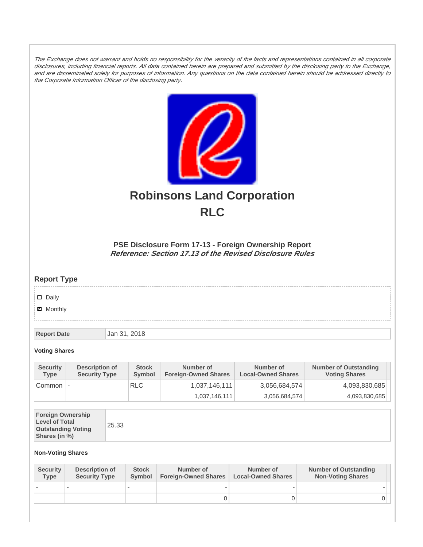The Exchange does not warrant and holds no responsibility for the veracity of the facts and representations contained in all corporate disclosures, including financial reports. All data contained herein are prepared and submitted by the disclosing party to the Exchange, and are disseminated solely for purposes of information. Any questions on the data contained herein should be addressed directly to the Corporate Information Officer of the disclosing party.



# **Robinsons Land Corporation RLC**

## **PSE Disclosure Form 17-13 - Foreign Ownership Report Reference: Section 17.13 of the Revised Disclosure Rules**

## **Report Type**

Daily

**Ø** Monthly

**Report Date Jan 31, 2018** 

#### **Voting Shares**

| <b>Security</b><br>Type | Description of<br><b>Security Type</b> | <b>Stock</b><br>Symbol | Number of<br><b>Foreign-Owned Shares</b> | Number of<br><b>Local-Owned Shares</b> | <b>Number of Outstanding</b><br><b>Voting Shares</b> |
|-------------------------|----------------------------------------|------------------------|------------------------------------------|----------------------------------------|------------------------------------------------------|
| Common                  | $\overline{\phantom{a}}$               | <b>RLC</b>             | 1,037,146,111                            | 3,056,684,574                          | 4,093,830,685                                        |
|                         |                                        |                        | 1,037,146,111                            | 3,056,684,574                          | 4,093,830,685                                        |

| <b>Foreign Ownership</b><br><b>Level of Total</b><br><b>Outstanding Voting</b><br>Shares (in %) |
|-------------------------------------------------------------------------------------------------|
|-------------------------------------------------------------------------------------------------|

### **Non-Voting Shares**

| <b>Security</b><br><b>Type</b> | Description of<br><b>Security Type</b> | <b>Stock</b><br><b>Symbol</b> | Number of<br><b>Foreign-Owned Shares</b> | Number of<br><b>Local-Owned Shares</b> | <b>Number of Outstanding</b><br><b>Non-Voting Shares</b> |
|--------------------------------|----------------------------------------|-------------------------------|------------------------------------------|----------------------------------------|----------------------------------------------------------|
|                                |                                        |                               |                                          |                                        |                                                          |
|                                |                                        |                               | 0                                        |                                        |                                                          |